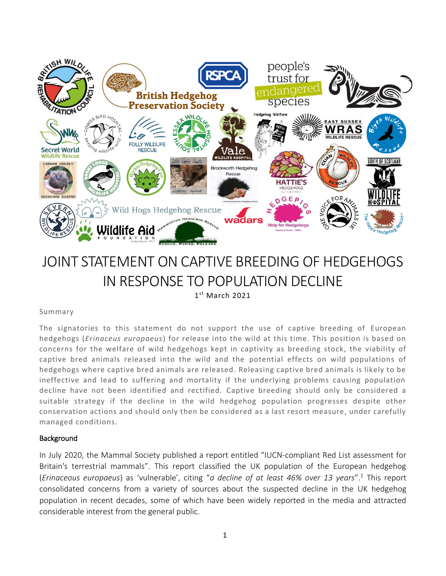

# JOINT STATEMENT ON CAPTIVE BREEDING OF HEDGEHOGS IN RESPONSE TO POPULATION DECLINE 1 st March 2021

# Summary

The signatories to this statement do not support the use of captive breeding of European hedgehogs (*Erinaceus europaeus*) for release into the wild at this time. This position is based on concerns for the welfare of wild hedgehogs kept in captivity as breeding stock, the viability of captive bred animals released into the wild and the potential effects on wild populations of hedgehogs where captive bred animals are released. Releasing captive bred animals is likely to be ineffective and lead to suffering and mortality if the underlying problems causing population decline have not been identified and rectified. Captive breeding should only be considered a suitable strategy if the decline in the wild hedgehog population progresses despite other conservation actions and should only then be considered as a last resort measure, under carefully managed conditions.

# **Background**

In July 2020, the Mammal Society published a report entitled "IUCN-compliant Red List assessment for Britain's terrestrial mammals". This report classified the UK population of the European hedgehog (*Erinaceous europaeus*) as 'vulnerable', citing "*a decline of at least 46% over 13 years*". <sup>1</sup> This report consolidated concerns from a variety of sources about the suspected decline in the UK hedgehog population in recent decades, some of which have been widely reported in the media and attracted considerable interest from the general public.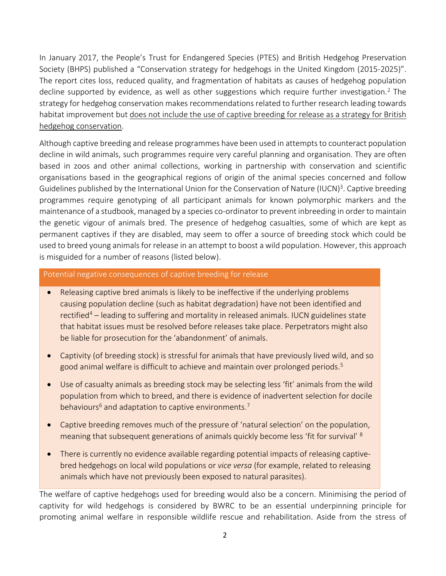In January 2017, the People's Trust for Endangered Species (PTES) and British Hedgehog Preservation Society (BHPS) published a "Conservation strategy for hedgehogs in the United Kingdom (2015-2025)". The report cites loss, reduced quality, and fragmentation of habitats as causes of hedgehog population decline supported by evidence, as well as other suggestions which require further investigation.<sup>2</sup> The strategy for hedgehog conservation makes recommendations related to further research leading towards habitat improvement but does not include the use of captive breeding for release as a strategy for British hedgehog conservation.

Although captive breeding and release programmes have been used in attempts to counteract population decline in wild animals, such programmes require very careful planning and organisation. They are often based in zoos and other animal collections, working in partnership with conservation and scientific organisations based in the geographical regions of origin of the animal species concerned and follow Guidelines published by the International Union for the Conservation of Nature (IUCN)<sup>3</sup>. Captive breeding programmes require genotyping of all participant animals for known polymorphic markers and the maintenance of a studbook, managed by a species co-ordinator to prevent inbreeding in order to maintain the genetic vigour of animals bred. The presence of hedgehog casualties, some of which are kept as permanent captives if they are disabled, may seem to offer a source of breeding stock which could be used to breed young animals for release in an attempt to boost a wild population. However, this approach is misguided for a number of reasons (listed below).

#### Potential negative consequences of captive breeding for release

- Releasing captive bred animals is likely to be ineffective if the underlying problems causing population decline (such as habitat degradation) have not been identified and rectified<sup>4</sup> – leading to suffering and mortality in released animals. IUCN guidelines state that habitat issues must be resolved before releases take place. Perpetrators might also be liable for prosecution for the 'abandonment' of animals.
- Captivity (of breeding stock) is stressful for animals that have previously lived wild, and so good animal welfare is difficult to achieve and maintain over prolonged periods. 5
- Use of casualty animals as breeding stock may be selecting less 'fit' animals from the wild population from which to breed, and there is evidence of inadvertent selection for docile behaviours<sup>6</sup> and adaptation to captive environments.<sup>7</sup>
- Captive breeding removes much of the pressure of 'natural selection' on the population, meaning that subsequent generations of animals quickly become less 'fit for survival' <sup>8</sup>
- There is currently no evidence available regarding potential impacts of releasing captivebred hedgehogs on local wild populations or *vice versa* (for example, related to releasing animals which have not previously been exposed to natural parasites).

The welfare of captive hedgehogs used for breeding would also be a concern. Minimising the period of captivity for wild hedgehogs is considered by BWRC to be an essential underpinning principle for promoting animal welfare in responsible wildlife rescue and rehabilitation. Aside from the stress of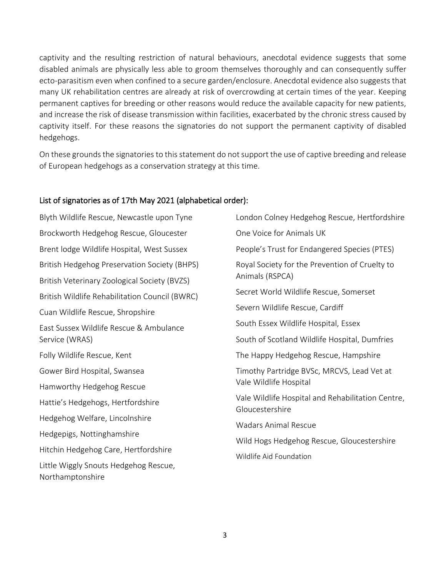captivity and the resulting restriction of natural behaviours, anecdotal evidence suggests that some disabled animals are physically less able to groom themselves thoroughly and can consequently suffer ecto-parasitism even when confined to a secure garden/enclosure. Anecdotal evidence also suggests that many UK rehabilitation centres are already at risk of overcrowding at certain times of the year. Keeping permanent captives for breeding or other reasons would reduce the available capacity for new patients, and increase the risk of disease transmission within facilities, exacerbated by the chronic stress caused by captivity itself. For these reasons the signatories do not support the permanent captivity of disabled hedgehogs.

On these grounds the signatories to this statement do not support the use of captive breeding and release of European hedgehogs as a conservation strategy at this time.

# List of signatories as of 17th May 2021 (alphabetical order):

Blyth Wildlife Rescue, Newcastle upon Tyne Brockworth Hedgehog Rescue, Gloucester Brent lodge Wildlife Hospital, West Sussex British Hedgehog Preservation Society (BHPS) British Veterinary Zoological Society (BVZS) British Wildlife Rehabilitation Council (BWRC) Cuan Wildlife Rescue, Shropshire East Sussex Wildlife Rescue & Ambulance Service (WRAS) Folly Wildlife Rescue, Kent Gower Bird Hospital, Swansea Hamworthy Hedgehog Rescue Hattie's Hedgehogs, Hertfordshire Hedgehog Welfare, Lincolnshire Hedgepigs, Nottinghamshire Hitchin Hedgehog Care, Hertfordshire Little Wiggly Snouts Hedgehog Rescue, Northamptonshire London Colney Hedgehog Rescue, Hertfordshire One Voice for Animals UK People's Trust for Endangered Species (PTES) Royal Society for the Prevention of Cruelty to Animals (RSPCA) Secret World Wildlife Rescue, Somerset Severn Wildlife Rescue, Cardiff South Essex Wildlife Hospital, Essex South of Scotland Wildlife Hospital, Dumfries The Happy Hedgehog Rescue, Hampshire Timothy Partridge BVSc, MRCVS, Lead Vet at Vale Wildlife Hospital Vale Wildlife Hospital and Rehabilitation Centre, Gloucestershire Wadars Animal Rescue Wild Hogs Hedgehog Rescue, Gloucestershire Wildlife Aid Foundation